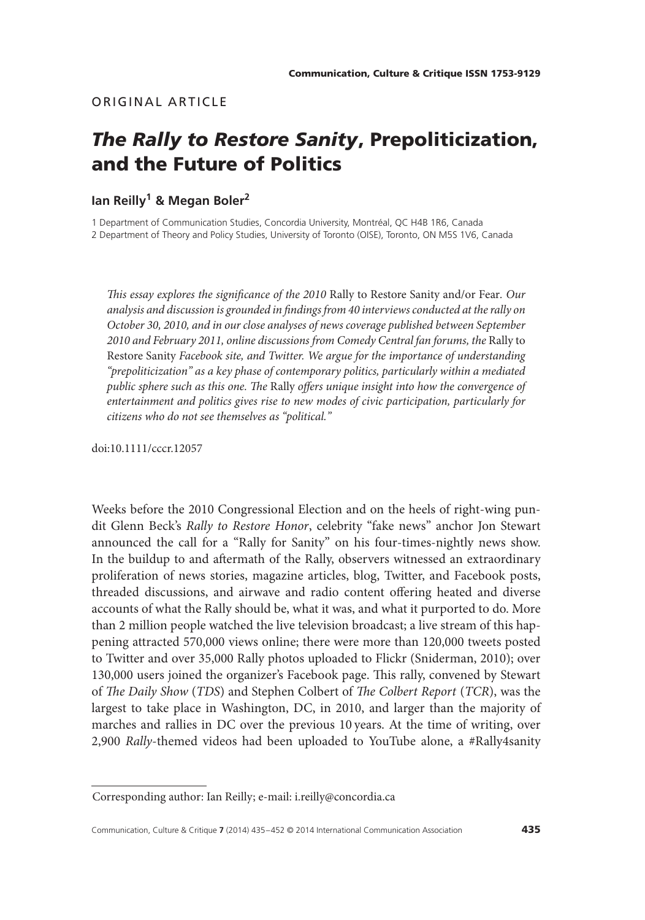# ORIGINAL ARTICLE

# *The Rally to Restore Sanity***, Prepoliticization, and the Future of Politics**

# **Ian Reilly1 & Megan Boler<sup>2</sup>**

1 Department of Communication Studies, Concordia University, Montréal, QC H4B 1R6, Canada 2 Department of Theory and Policy Studies, University of Toronto (OISE), Toronto, ON M5S 1V6, Canada

*This essay explores the significance of the 2010* Rally to Restore Sanity and/or Fear*. Our analysis and discussion is grounded in findings from 40 interviews conducted at the rally on October 30, 2010, and in our close analyses of news coverage published between September 2010 and February 2011, online discussions from Comedy Central fan forums, the* Rally to Restore Sanity *Facebook site, and Twitter. We argue for the importance of understanding "prepoliticization" as a key phase of contemporary politics, particularly within a mediated public sphere such as this one. The* Rally *offers unique insight into how the convergence of entertainment and politics gives rise to new modes of civic participation, particularly for citizens who do not see themselves as "political."*

doi:10.1111/cccr.12057

Weeks before the 2010 Congressional Election and on the heels of right-wing pundit Glenn Beck's *Rally to Restore Honor*, celebrity "fake news" anchor Jon Stewart announced the call for a "Rally for Sanity" on his four-times-nightly news show. In the buildup to and aftermath of the Rally, observers witnessed an extraordinary proliferation of news stories, magazine articles, blog, Twitter, and Facebook posts, threaded discussions, and airwave and radio content offering heated and diverse accounts of what the Rally should be, what it was, and what it purported to do. More than 2 million people watched the live television broadcast; a live stream of this happening attracted 570,000 views online; there were more than 120,000 tweets posted to Twitter and over 35,000 Rally photos uploaded to Flickr (Sniderman, 2010); over 130,000 users joined the organizer's Facebook page. This rally, convened by Stewart of *The Daily Show* (*TDS*) and Stephen Colbert of *The Colbert Report* (*TCR*), was the largest to take place in Washington, DC, in 2010, and larger than the majority of marches and rallies in DC over the previous 10 years. At the time of writing, over 2,900 *Rally*-themed videos had been uploaded to YouTube alone, a #Rally4sanity

Corresponding author: Ian Reilly; e-mail: i.reilly@concordia.ca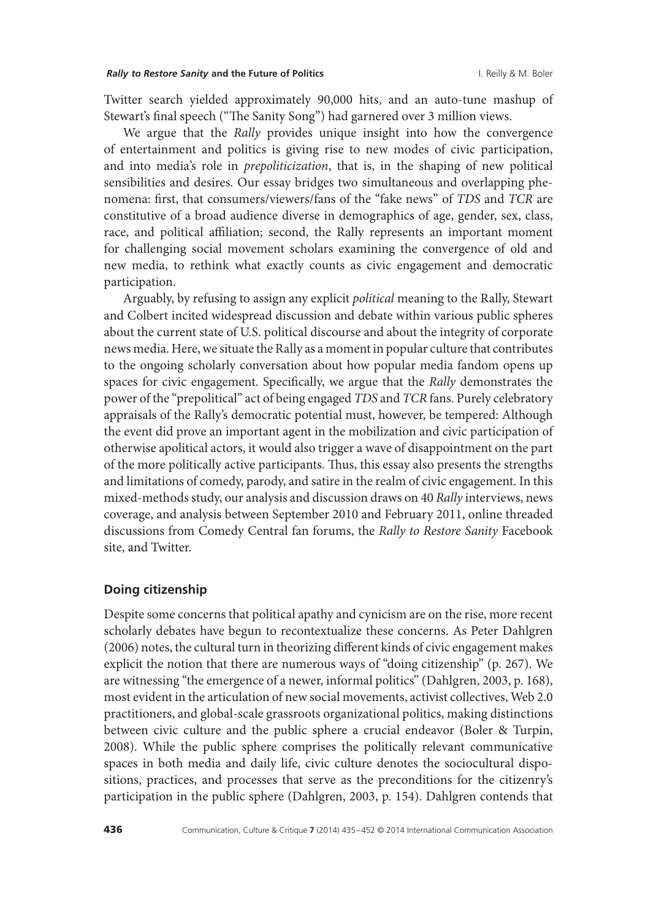Twitter search yielded approximately 90,000 hits, and an auto-tune mashup of Stewart's final speech ("The Sanity Song") had garnered over 3 million views.

We argue that the *Rally* provides unique insight into how the convergence of entertainment and politics is giving rise to new modes of civic participation, and into media's role in *prepoliticization*, that is, in the shaping of new political sensibilities and desires. Our essay bridges two simultaneous and overlapping phenomena: first, that consumers/viewers/fans of the "fake news" of *TDS* and *TCR* are constitutive of a broad audience diverse in demographics of age, gender, sex, class, race, and political affiliation; second, the Rally represents an important moment for challenging social movement scholars examining the convergence of old and new media, to rethink what exactly counts as civic engagement and democratic participation.

Arguably, by refusing to assign any explicit *political* meaning to the Rally, Stewart and Colbert incited widespread discussion and debate within various public spheres about the current state of U.S. political discourse and about the integrity of corporate news media. Here, we situate the Rally as a moment in popular culture that contributes to the ongoing scholarly conversation about how popular media fandom opens up spaces for civic engagement. Specifically, we argue that the *Rally* demonstrates the power of the "prepolitical" act of being engaged *TDS* and *TCR* fans. Purely celebratory appraisals of the Rally's democratic potential must, however, be tempered: Although the event did prove an important agent in the mobilization and civic participation of otherwise apolitical actors, it would also trigger a wave of disappointment on the part of the more politically active participants. Thus, this essay also presents the strengths and limitations of comedy, parody, and satire in the realm of civic engagement. In this mixed-methods study, our analysis and discussion draws on 40 *Rally* interviews, news coverage, and analysis between September 2010 and February 2011, online threaded discussions from Comedy Central fan forums, the *Rally to Restore Sanity* Facebook site, and Twitter.

### **Doing citizenship**

Despite some concerns that political apathy and cynicism are on the rise, more recent scholarly debates have begun to recontextualize these concerns. As Peter Dahlgren (2006) notes, the cultural turn in theorizing different kinds of civic engagement makes explicit the notion that there are numerous ways of "doing citizenship" (p. 267). We are witnessing "the emergence of a newer, informal politics" (Dahlgren, 2003, p. 168), most evident in the articulation of new social movements, activist collectives, Web 2.0 practitioners, and global-scale grassroots organizational politics, making distinctions between civic culture and the public sphere a crucial endeavor (Boler & Turpin, 2008). While the public sphere comprises the politically relevant communicative spaces in both media and daily life, civic culture denotes the sociocultural dispositions, practices, and processes that serve as the preconditions for the citizenry's participation in the public sphere (Dahlgren, 2003, p. 154). Dahlgren contends that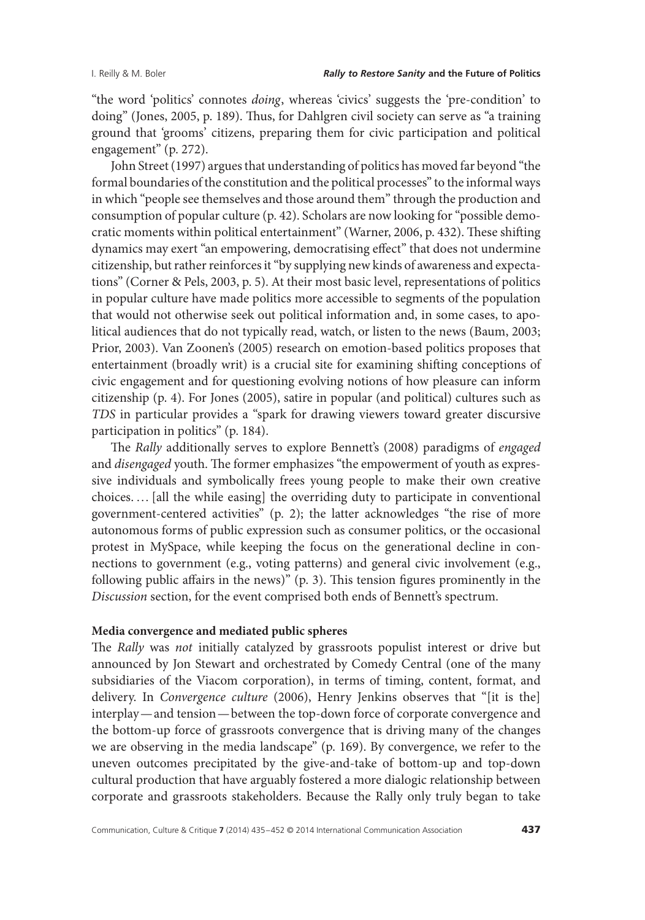"the word 'politics' connotes *doing*, whereas 'civics' suggests the 'pre-condition' to doing" (Jones, 2005, p. 189). Thus, for Dahlgren civil society can serve as "a training ground that 'grooms' citizens, preparing them for civic participation and political engagement" (p. 272).

John Street (1997) argues that understanding of politics has moved far beyond "the formal boundaries of the constitution and the political processes" to the informal ways in which "people see themselves and those around them" through the production and consumption of popular culture (p. 42). Scholars are now looking for "possible democratic moments within political entertainment" (Warner, 2006, p. 432). These shifting dynamics may exert "an empowering, democratising effect" that does not undermine citizenship, but rather reinforces it "by supplying new kinds of awareness and expectations" (Corner & Pels, 2003, p. 5). At their most basic level, representations of politics in popular culture have made politics more accessible to segments of the population that would not otherwise seek out political information and, in some cases, to apolitical audiences that do not typically read, watch, or listen to the news (Baum, 2003; Prior, 2003). Van Zoonen's (2005) research on emotion-based politics proposes that entertainment (broadly writ) is a crucial site for examining shifting conceptions of civic engagement and for questioning evolving notions of how pleasure can inform citizenship (p. 4). For Jones (2005), satire in popular (and political) cultures such as *TDS* in particular provides a "spark for drawing viewers toward greater discursive participation in politics" (p. 184).

The *Rally* additionally serves to explore Bennett's (2008) paradigms of *engaged* and *disengaged* youth. The former emphasizes "the empowerment of youth as expressive individuals and symbolically frees young people to make their own creative choices. …[all the while easing] the overriding duty to participate in conventional government-centered activities" (p. 2); the latter acknowledges "the rise of more autonomous forms of public expression such as consumer politics, or the occasional protest in MySpace, while keeping the focus on the generational decline in connections to government (e.g., voting patterns) and general civic involvement (e.g., following public affairs in the news)" (p. 3). This tension figures prominently in the *Discussion* section, for the event comprised both ends of Bennett's spectrum.

### **Media convergence and mediated public spheres**

The *Rally* was *not* initially catalyzed by grassroots populist interest or drive but announced by Jon Stewart and orchestrated by Comedy Central (one of the many subsidiaries of the Viacom corporation), in terms of timing, content, format, and delivery. In *Convergence culture* (2006), Henry Jenkins observes that "[it is the] interplay—and tension—between the top-down force of corporate convergence and the bottom-up force of grassroots convergence that is driving many of the changes we are observing in the media landscape" (p. 169). By convergence, we refer to the uneven outcomes precipitated by the give-and-take of bottom-up and top-down cultural production that have arguably fostered a more dialogic relationship between corporate and grassroots stakeholders. Because the Rally only truly began to take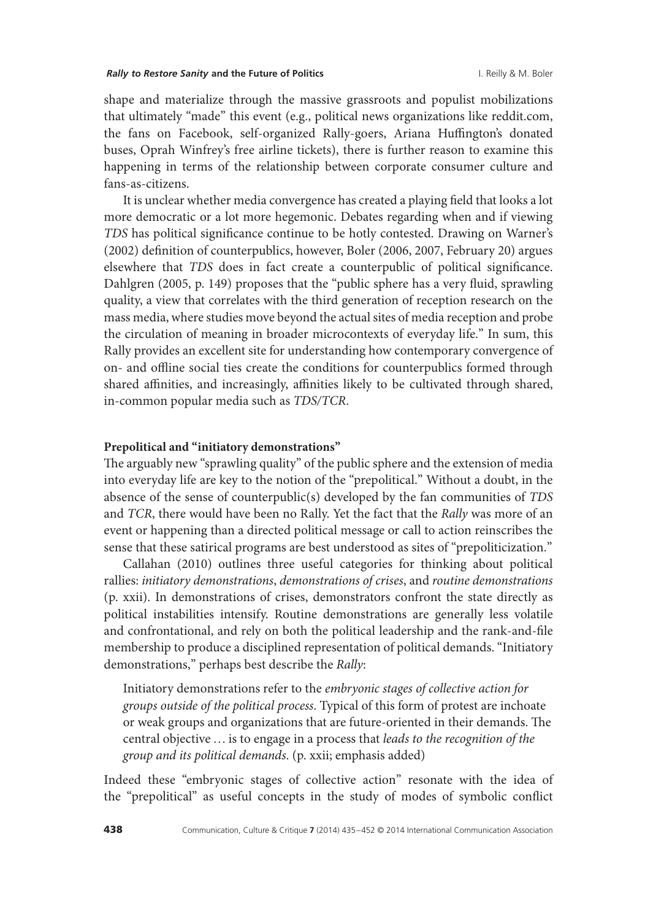#### **Rally to Restore Sanity and the Future of Politics Contained Account Account Account Account Account Account Account Account Account Account Account Account Account Account Account Account Account Account Account Accoun**

shape and materialize through the massive grassroots and populist mobilizations that ultimately "made" this event (e.g., political news organizations like reddit.com, the fans on Facebook, self-organized Rally-goers, Ariana Huffington's donated buses, Oprah Winfrey's free airline tickets), there is further reason to examine this happening in terms of the relationship between corporate consumer culture and fans-as-citizens.

It is unclear whether media convergence has created a playing field that looks a lot more democratic or a lot more hegemonic. Debates regarding when and if viewing *TDS* has political significance continue to be hotly contested. Drawing on Warner's (2002) definition of counterpublics, however, Boler (2006, 2007, February 20) argues elsewhere that *TDS* does in fact create a counterpublic of political significance. Dahlgren (2005, p. 149) proposes that the "public sphere has a very fluid, sprawling quality, a view that correlates with the third generation of reception research on the mass media, where studies move beyond the actual sites of media reception and probe the circulation of meaning in broader microcontexts of everyday life." In sum, this Rally provides an excellent site for understanding how contemporary convergence of on- and offline social ties create the conditions for counterpublics formed through shared affinities, and increasingly, affinities likely to be cultivated through shared, in-common popular media such as *TDS/TCR*.

### **Prepolitical and "initiatory demonstrations"**

The arguably new "sprawling quality" of the public sphere and the extension of media into everyday life are key to the notion of the "prepolitical." Without a doubt, in the absence of the sense of counterpublic(s) developed by the fan communities of *TDS* and *TCR*, there would have been no Rally. Yet the fact that the *Rally* was more of an event or happening than a directed political message or call to action reinscribes the sense that these satirical programs are best understood as sites of "prepoliticization."

Callahan (2010) outlines three useful categories for thinking about political rallies: *initiatory demonstrations*, *demonstrations of crises*, and *routine demonstrations* (p. xxii). In demonstrations of crises, demonstrators confront the state directly as political instabilities intensify. Routine demonstrations are generally less volatile and confrontational, and rely on both the political leadership and the rank-and-file membership to produce a disciplined representation of political demands. "Initiatory demonstrations," perhaps best describe the *Rally*:

Initiatory demonstrations refer to the *embryonic stages of collective action for groups outside of the political process*. Typical of this form of protest are inchoate or weak groups and organizations that are future-oriented in their demands. The central objective…is to engage in a process that *leads to the recognition of the group and its political demands*. (p. xxii; emphasis added)

Indeed these "embryonic stages of collective action" resonate with the idea of the "prepolitical" as useful concepts in the study of modes of symbolic conflict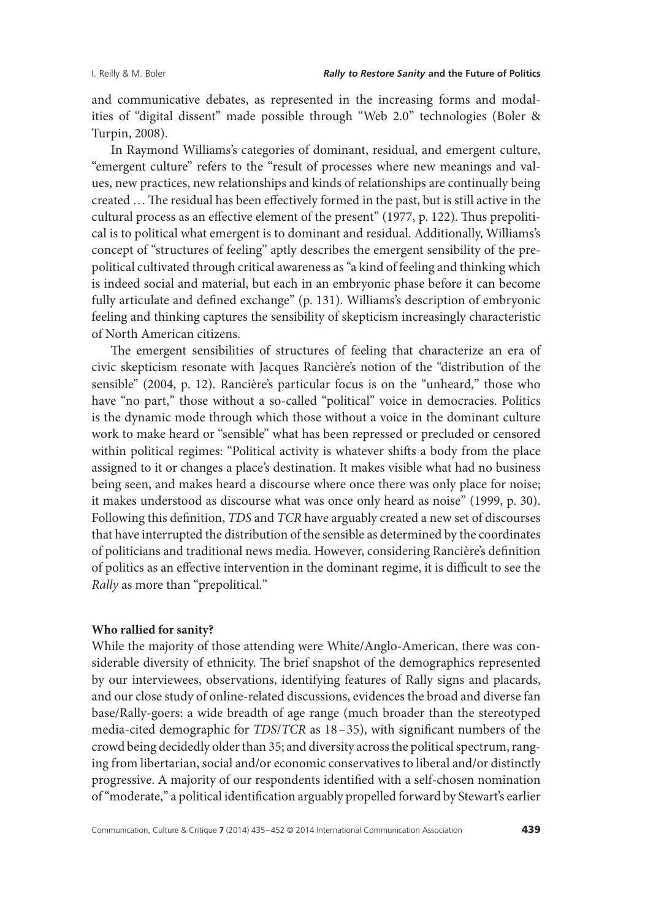and communicative debates, as represented in the increasing forms and modalities of "digital dissent" made possible through "Web 2.0" technologies (Boler & Turpin, 2008).

In Raymond Williams's categories of dominant, residual, and emergent culture, "emergent culture" refers to the "result of processes where new meanings and values, new practices, new relationships and kinds of relationships are continually being created …The residual has been effectively formed in the past, but is still active in the cultural process as an effective element of the present" (1977, p. 122). Thus prepolitical is to political what emergent is to dominant and residual. Additionally, Williams's concept of "structures of feeling" aptly describes the emergent sensibility of the prepolitical cultivated through critical awareness as "a kind of feeling and thinking which is indeed social and material, but each in an embryonic phase before it can become fully articulate and defined exchange" (p. 131). Williams's description of embryonic feeling and thinking captures the sensibility of skepticism increasingly characteristic of North American citizens.

The emergent sensibilities of structures of feeling that characterize an era of civic skepticism resonate with Jacques Rancière's notion of the "distribution of the sensible" (2004, p. 12). Rancière's particular focus is on the "unheard," those who have "no part," those without a so-called "political" voice in democracies. Politics is the dynamic mode through which those without a voice in the dominant culture work to make heard or "sensible" what has been repressed or precluded or censored within political regimes: "Political activity is whatever shifts a body from the place assigned to it or changes a place's destination. It makes visible what had no business being seen, and makes heard a discourse where once there was only place for noise; it makes understood as discourse what was once only heard as noise" (1999, p. 30). Following this definition, *TDS* and *TCR* have arguably created a new set of discourses that have interrupted the distribution of the sensible as determined by the coordinates of politicians and traditional news media. However, considering Rancière's definition of politics as an effective intervention in the dominant regime, it is difficult to see the *Rally* as more than "prepolitical."

#### **Who rallied for sanity?**

While the majority of those attending were White/Anglo-American, there was considerable diversity of ethnicity. The brief snapshot of the demographics represented by our interviewees, observations, identifying features of Rally signs and placards, and our close study of online-related discussions, evidences the broad and diverse fan base/Rally-goers: a wide breadth of age range (much broader than the stereotyped media-cited demographic for *TDS*/*TCR* as 18–35), with significant numbers of the crowd being decidedly older than 35; and diversity across the political spectrum, ranging from libertarian, social and/or economic conservatives to liberal and/or distinctly progressive. A majority of our respondents identified with a self-chosen nomination of "moderate," a political identification arguably propelled forward by Stewart's earlier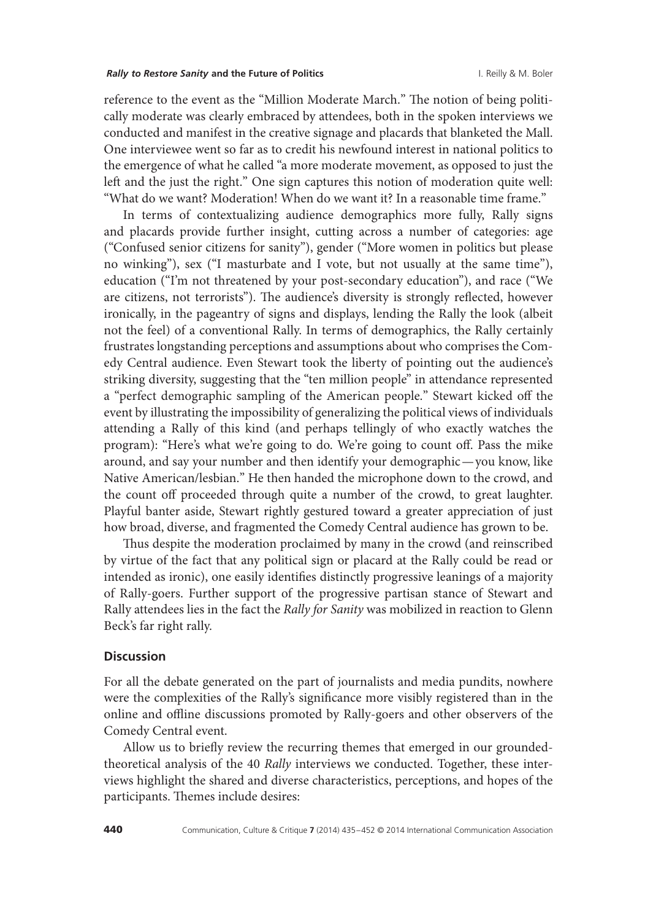#### **Rally to Restore Sanity and the Future of Politics Contained Account Account Account Account Account Account Account Account Account Account Account Account Account Account Account Account Account Account Account Accoun**

reference to the event as the "Million Moderate March." The notion of being politically moderate was clearly embraced by attendees, both in the spoken interviews we conducted and manifest in the creative signage and placards that blanketed the Mall. One interviewee went so far as to credit his newfound interest in national politics to the emergence of what he called "a more moderate movement, as opposed to just the left and the just the right." One sign captures this notion of moderation quite well: "What do we want? Moderation! When do we want it? In a reasonable time frame."

In terms of contextualizing audience demographics more fully, Rally signs and placards provide further insight, cutting across a number of categories: age ("Confused senior citizens for sanity"), gender ("More women in politics but please no winking"), sex ("I masturbate and I vote, but not usually at the same time"), education ("I'm not threatened by your post-secondary education"), and race ("We are citizens, not terrorists"). The audience's diversity is strongly reflected, however ironically, in the pageantry of signs and displays, lending the Rally the look (albeit not the feel) of a conventional Rally. In terms of demographics, the Rally certainly frustrates longstanding perceptions and assumptions about who comprises the Comedy Central audience. Even Stewart took the liberty of pointing out the audience's striking diversity, suggesting that the "ten million people" in attendance represented a "perfect demographic sampling of the American people." Stewart kicked off the event by illustrating the impossibility of generalizing the political views of individuals attending a Rally of this kind (and perhaps tellingly of who exactly watches the program): "Here's what we're going to do. We're going to count off. Pass the mike around, and say your number and then identify your demographic—you know, like Native American/lesbian." He then handed the microphone down to the crowd, and the count off proceeded through quite a number of the crowd, to great laughter. Playful banter aside, Stewart rightly gestured toward a greater appreciation of just how broad, diverse, and fragmented the Comedy Central audience has grown to be.

Thus despite the moderation proclaimed by many in the crowd (and reinscribed by virtue of the fact that any political sign or placard at the Rally could be read or intended as ironic), one easily identifies distinctly progressive leanings of a majority of Rally-goers. Further support of the progressive partisan stance of Stewart and Rally attendees lies in the fact the *Rally for Sanity* was mobilized in reaction to Glenn Beck's far right rally.

### **Discussion**

For all the debate generated on the part of journalists and media pundits, nowhere were the complexities of the Rally's significance more visibly registered than in the online and offline discussions promoted by Rally-goers and other observers of the Comedy Central event.

Allow us to briefly review the recurring themes that emerged in our groundedtheoretical analysis of the 40 *Rally* interviews we conducted. Together, these interviews highlight the shared and diverse characteristics, perceptions, and hopes of the participants. Themes include desires: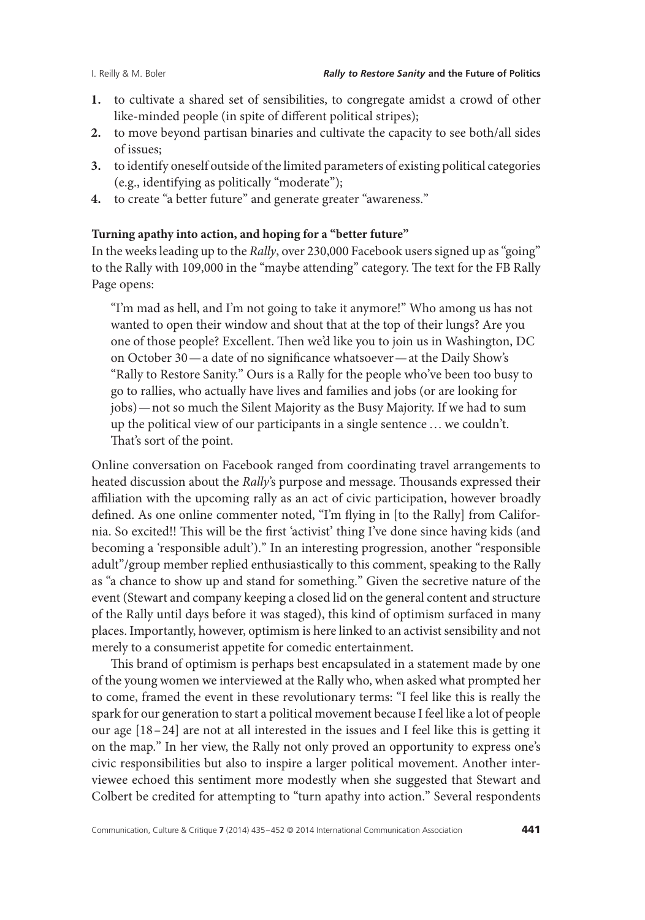- **1.** to cultivate a shared set of sensibilities, to congregate amidst a crowd of other like-minded people (in spite of different political stripes);
- **2.** to move beyond partisan binaries and cultivate the capacity to see both/all sides of issues;
- **3.** to identify oneself outside of the limited parameters of existing political categories (e.g., identifying as politically "moderate");
- **4.** to create "a better future" and generate greater "awareness."

### **Turning apathy into action, and hoping for a "better future"**

In the weeks leading up to the *Rally*, over 230,000 Facebook users signed up as "going" to the Rally with 109,000 in the "maybe attending" category. The text for the FB Rally Page opens:

"I'm mad as hell, and I'm not going to take it anymore!" Who among us has not wanted to open their window and shout that at the top of their lungs? Are you one of those people? Excellent. Then we'd like you to join us in Washington, DC on October 30—a date of no significance whatsoever—at the Daily Show's "Rally to Restore Sanity." Ours is a Rally for the people who've been too busy to go to rallies, who actually have lives and families and jobs (or are looking for jobs)—not so much the Silent Majority as the Busy Majority. If we had to sum up the political view of our participants in a single sentence …we couldn't. That's sort of the point.

Online conversation on Facebook ranged from coordinating travel arrangements to heated discussion about the *Rally*'s purpose and message. Thousands expressed their affiliation with the upcoming rally as an act of civic participation, however broadly defined. As one online commenter noted, "I'm flying in [to the Rally] from California. So excited!! This will be the first 'activist' thing I've done since having kids (and becoming a 'responsible adult')." In an interesting progression, another "responsible adult"/group member replied enthusiastically to this comment, speaking to the Rally as "a chance to show up and stand for something." Given the secretive nature of the event (Stewart and company keeping a closed lid on the general content and structure of the Rally until days before it was staged), this kind of optimism surfaced in many places. Importantly, however, optimism is here linked to an activist sensibility and not merely to a consumerist appetite for comedic entertainment.

This brand of optimism is perhaps best encapsulated in a statement made by one of the young women we interviewed at the Rally who, when asked what prompted her to come, framed the event in these revolutionary terms: "I feel like this is really the spark for our generation to start a political movement because I feel like a lot of people our age [18–24] are not at all interested in the issues and I feel like this is getting it on the map." In her view, the Rally not only proved an opportunity to express one's civic responsibilities but also to inspire a larger political movement. Another interviewee echoed this sentiment more modestly when she suggested that Stewart and Colbert be credited for attempting to "turn apathy into action." Several respondents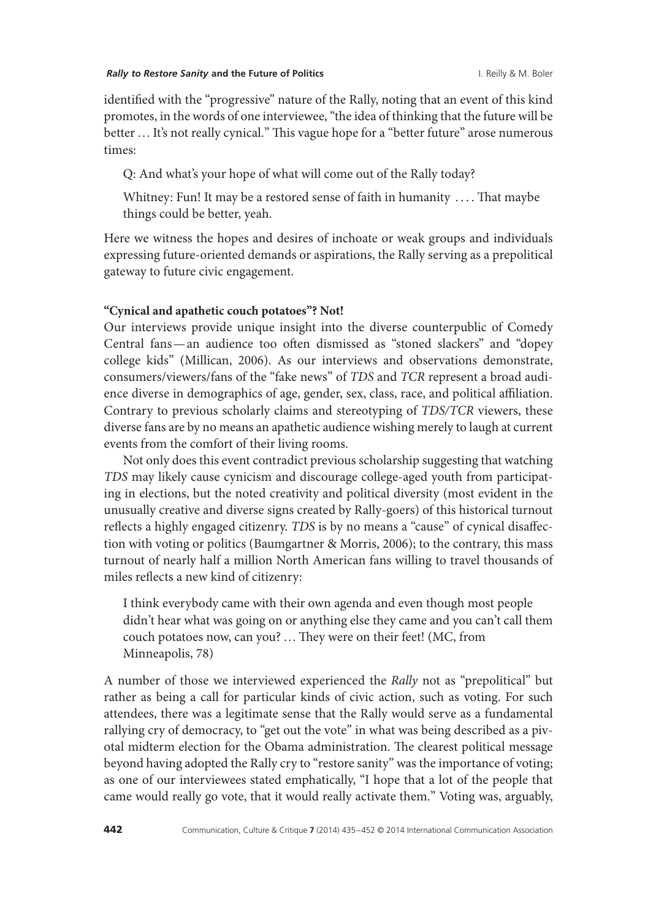identified with the "progressive" nature of the Rally, noting that an event of this kind promotes, in the words of one interviewee, "the idea of thinking that the future will be better ... It's not really cynical." This vague hope for a "better future" arose numerous times:

Q: And what's your hope of what will come out of the Rally today?

Whitney: Fun! It may be a restored sense of faith in humanity .... That maybe things could be better, yeah.

Here we witness the hopes and desires of inchoate or weak groups and individuals expressing future-oriented demands or aspirations, the Rally serving as a prepolitical gateway to future civic engagement.

### **"Cynical and apathetic couch potatoes"? Not!**

Our interviews provide unique insight into the diverse counterpublic of Comedy Central fans—an audience too often dismissed as "stoned slackers" and "dopey college kids" (Millican, 2006). As our interviews and observations demonstrate, consumers/viewers/fans of the "fake news" of *TDS* and *TCR* represent a broad audience diverse in demographics of age, gender, sex, class, race, and political affiliation. Contrary to previous scholarly claims and stereotyping of *TDS/TCR* viewers, these diverse fans are by no means an apathetic audience wishing merely to laugh at current events from the comfort of their living rooms.

Not only does this event contradict previous scholarship suggesting that watching *TDS* may likely cause cynicism and discourage college-aged youth from participating in elections, but the noted creativity and political diversity (most evident in the unusually creative and diverse signs created by Rally-goers) of this historical turnout reflects a highly engaged citizenry. *TDS* is by no means a "cause" of cynical disaffection with voting or politics (Baumgartner & Morris, 2006); to the contrary, this mass turnout of nearly half a million North American fans willing to travel thousands of miles reflects a new kind of citizenry:

I think everybody came with their own agenda and even though most people didn't hear what was going on or anything else they came and you can't call them couch potatoes now, can you? …They were on their feet! (MC, from Minneapolis, 78)

A number of those we interviewed experienced the *Rally* not as "prepolitical" but rather as being a call for particular kinds of civic action, such as voting. For such attendees, there was a legitimate sense that the Rally would serve as a fundamental rallying cry of democracy, to "get out the vote" in what was being described as a pivotal midterm election for the Obama administration. The clearest political message beyond having adopted the Rally cry to "restore sanity" was the importance of voting; as one of our interviewees stated emphatically, "I hope that a lot of the people that came would really go vote, that it would really activate them." Voting was, arguably,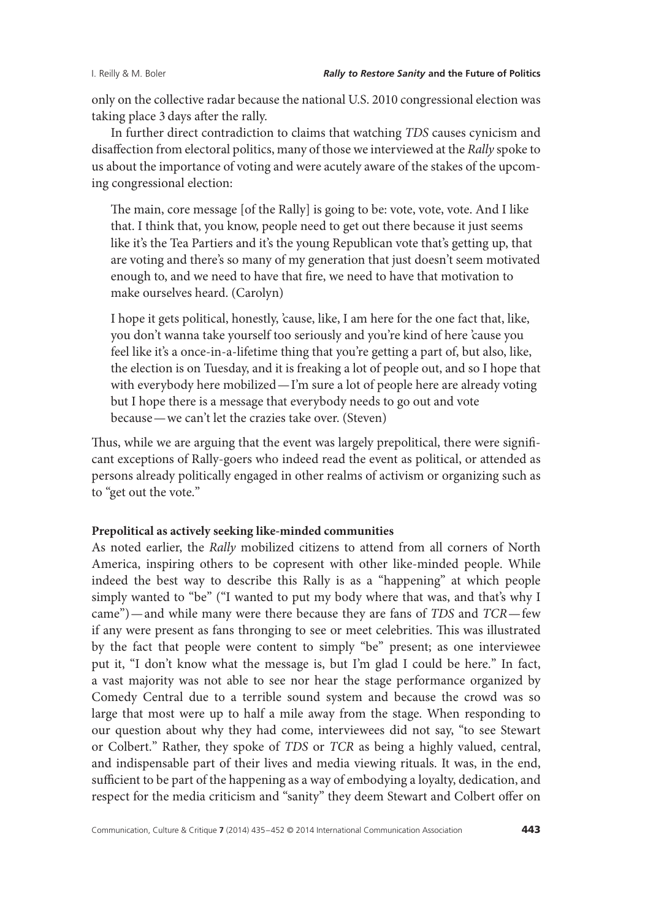only on the collective radar because the national U.S. 2010 congressional election was taking place 3 days after the rally.

In further direct contradiction to claims that watching *TDS* causes cynicism and disaffection from electoral politics, many of those we interviewed at the *Rally* spoke to us about the importance of voting and were acutely aware of the stakes of the upcoming congressional election:

The main, core message [of the Rally] is going to be: vote, vote, vote. And I like that. I think that, you know, people need to get out there because it just seems like it's the Tea Partiers and it's the young Republican vote that's getting up, that are voting and there's so many of my generation that just doesn't seem motivated enough to, and we need to have that fire, we need to have that motivation to make ourselves heard. (Carolyn)

I hope it gets political, honestly, 'cause, like, I am here for the one fact that, like, you don't wanna take yourself too seriously and you're kind of here 'cause you feel like it's a once-in-a-lifetime thing that you're getting a part of, but also, like, the election is on Tuesday, and it is freaking a lot of people out, and so I hope that with everybody here mobilized—I'm sure a lot of people here are already voting but I hope there is a message that everybody needs to go out and vote because—we can't let the crazies take over. (Steven)

Thus, while we are arguing that the event was largely prepolitical, there were significant exceptions of Rally-goers who indeed read the event as political, or attended as persons already politically engaged in other realms of activism or organizing such as to "get out the vote."

# **Prepolitical as actively seeking like-minded communities**

As noted earlier, the *Rally* mobilized citizens to attend from all corners of North America, inspiring others to be copresent with other like-minded people. While indeed the best way to describe this Rally is as a "happening" at which people simply wanted to "be" ("I wanted to put my body where that was, and that's why I came")—and while many were there because they are fans of *TDS* and *TCR*—few if any were present as fans thronging to see or meet celebrities. This was illustrated by the fact that people were content to simply "be" present; as one interviewee put it, "I don't know what the message is, but I'm glad I could be here." In fact, a vast majority was not able to see nor hear the stage performance organized by Comedy Central due to a terrible sound system and because the crowd was so large that most were up to half a mile away from the stage. When responding to our question about why they had come, interviewees did not say, "to see Stewart or Colbert." Rather, they spoke of *TDS* or *TCR* as being a highly valued, central, and indispensable part of their lives and media viewing rituals. It was, in the end, sufficient to be part of the happening as a way of embodying a loyalty, dedication, and respect for the media criticism and "sanity" they deem Stewart and Colbert offer on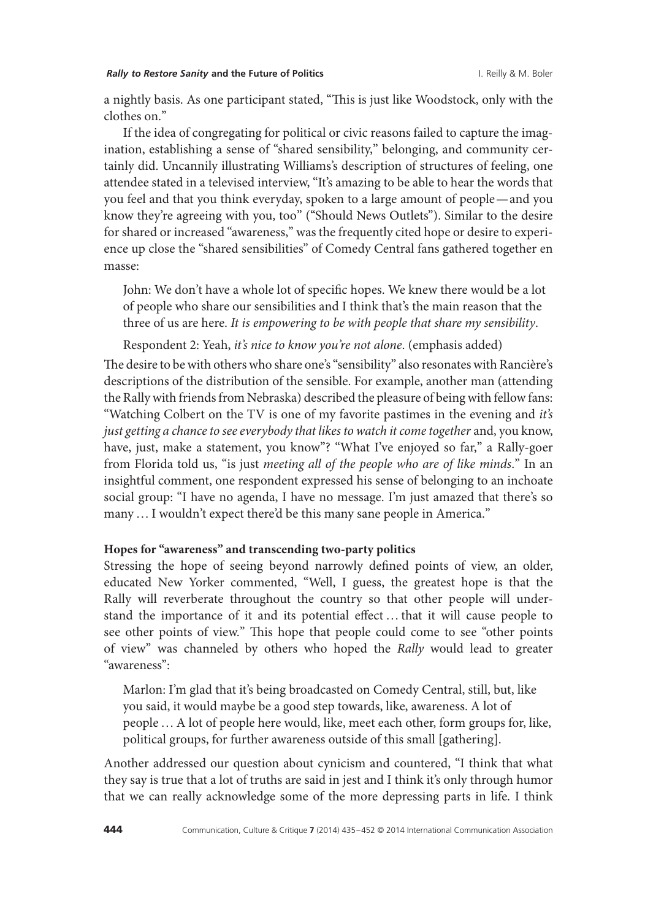#### *Rally to Restore Sanity* **and the Future of Politics** I. Reilly & M. Boler

a nightly basis. As one participant stated, "This is just like Woodstock, only with the clothes on."

If the idea of congregating for political or civic reasons failed to capture the imagination, establishing a sense of "shared sensibility," belonging, and community certainly did. Uncannily illustrating Williams's description of structures of feeling, one attendee stated in a televised interview, "It's amazing to be able to hear the words that you feel and that you think everyday, spoken to a large amount of people—and you know they're agreeing with you, too" ("Should News Outlets"). Similar to the desire for shared or increased "awareness," was the frequently cited hope or desire to experience up close the "shared sensibilities" of Comedy Central fans gathered together en masse:

John: We don't have a whole lot of specific hopes. We knew there would be a lot of people who share our sensibilities and I think that's the main reason that the three of us are here. *It is empowering to be with people that share my sensibility*.

Respondent 2: Yeah, *it's nice to know you're not alone*. (emphasis added)

The desire to be with others who share one's "sensibility" also resonates with Rancière's descriptions of the distribution of the sensible. For example, another man (attending the Rally with friends from Nebraska) described the pleasure of being with fellow fans: "Watching Colbert on the TV is one of my favorite pastimes in the evening and *it's just getting a chance to see everybody that likes to watch it come together* and, you know, have, just, make a statement, you know"? "What I've enjoyed so far," a Rally-goer from Florida told us, "is just *meeting all of the people who are of like minds*." In an insightful comment, one respondent expressed his sense of belonging to an inchoate social group: "I have no agenda, I have no message. I'm just amazed that there's so many…I wouldn't expect there'd be this many sane people in America."

# **Hopes for "awareness" and transcending two-party politics**

Stressing the hope of seeing beyond narrowly defined points of view, an older, educated New Yorker commented, "Well, I guess, the greatest hope is that the Rally will reverberate throughout the country so that other people will understand the importance of it and its potential effect …that it will cause people to see other points of view." This hope that people could come to see "other points of view" was channeled by others who hoped the *Rally* would lead to greater "awareness":

Marlon: I'm glad that it's being broadcasted on Comedy Central, still, but, like you said, it would maybe be a good step towards, like, awareness. A lot of people …A lot of people here would, like, meet each other, form groups for, like, political groups, for further awareness outside of this small [gathering].

Another addressed our question about cynicism and countered, "I think that what they say is true that a lot of truths are said in jest and I think it's only through humor that we can really acknowledge some of the more depressing parts in life. I think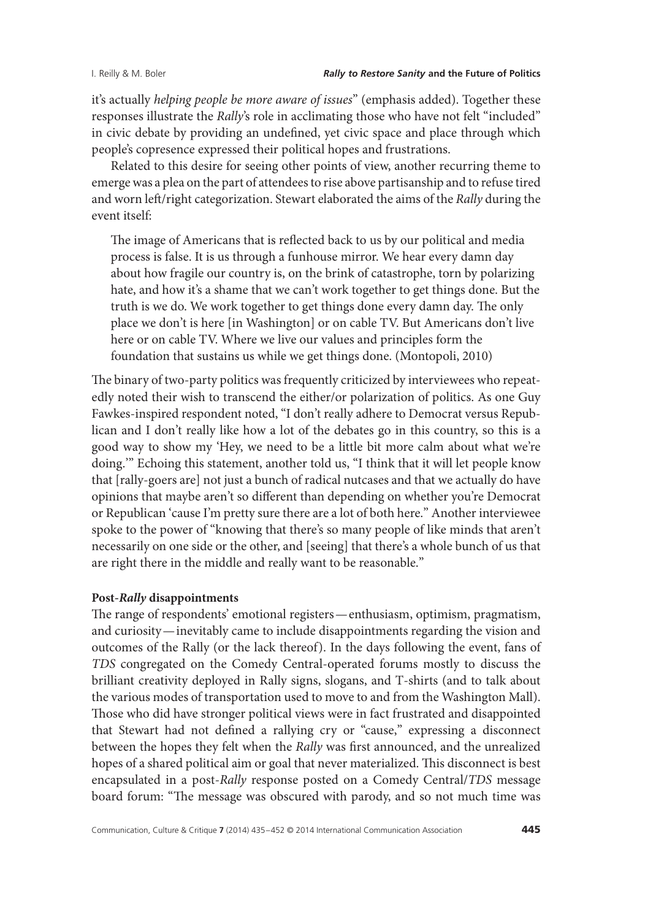it's actually *helping people be more aware of issues*" (emphasis added). Together these responses illustrate the *Rally*'s role in acclimating those who have not felt "included" in civic debate by providing an undefined, yet civic space and place through which people's copresence expressed their political hopes and frustrations.

Related to this desire for seeing other points of view, another recurring theme to emerge was a plea on the part of attendees to rise above partisanship and to refuse tired and worn left/right categorization. Stewart elaborated the aims of the *Rally* during the event itself:

The image of Americans that is reflected back to us by our political and media process is false. It is us through a funhouse mirror. We hear every damn day about how fragile our country is, on the brink of catastrophe, torn by polarizing hate, and how it's a shame that we can't work together to get things done. But the truth is we do. We work together to get things done every damn day. The only place we don't is here [in Washington] or on cable TV. But Americans don't live here or on cable TV. Where we live our values and principles form the foundation that sustains us while we get things done. (Montopoli, 2010)

The binary of two-party politics was frequently criticized by interviewees who repeatedly noted their wish to transcend the either/or polarization of politics. As one Guy Fawkes-inspired respondent noted, "I don't really adhere to Democrat versus Republican and I don't really like how a lot of the debates go in this country, so this is a good way to show my 'Hey, we need to be a little bit more calm about what we're doing.'" Echoing this statement, another told us, "I think that it will let people know that [rally-goers are] not just a bunch of radical nutcases and that we actually do have opinions that maybe aren't so different than depending on whether you're Democrat or Republican 'cause I'm pretty sure there are a lot of both here." Another interviewee spoke to the power of "knowing that there's so many people of like minds that aren't necessarily on one side or the other, and [seeing] that there's a whole bunch of us that are right there in the middle and really want to be reasonable."

### **Post-***Rally* **disappointments**

The range of respondents' emotional registers—enthusiasm, optimism, pragmatism, and curiosity—inevitably came to include disappointments regarding the vision and outcomes of the Rally (or the lack thereof). In the days following the event, fans of *TDS* congregated on the Comedy Central-operated forums mostly to discuss the brilliant creativity deployed in Rally signs, slogans, and T-shirts (and to talk about the various modes of transportation used to move to and from the Washington Mall). Those who did have stronger political views were in fact frustrated and disappointed that Stewart had not defined a rallying cry or "cause," expressing a disconnect between the hopes they felt when the *Rally* was first announced, and the unrealized hopes of a shared political aim or goal that never materialized. This disconnect is best encapsulated in a post-*Rally* response posted on a Comedy Central/*TDS* message board forum: "The message was obscured with parody, and so not much time was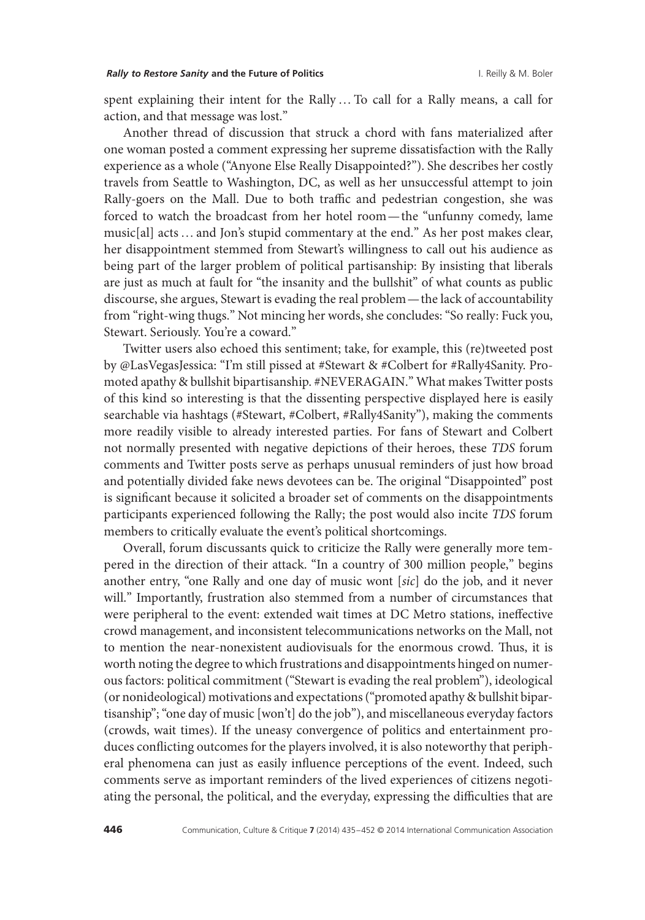spent explaining their intent for the Rally…To call for a Rally means, a call for action, and that message was lost."

Another thread of discussion that struck a chord with fans materialized after one woman posted a comment expressing her supreme dissatisfaction with the Rally experience as a whole ("Anyone Else Really Disappointed?"). She describes her costly travels from Seattle to Washington, DC, as well as her unsuccessful attempt to join Rally-goers on the Mall. Due to both traffic and pedestrian congestion, she was forced to watch the broadcast from her hotel room— the "unfunny comedy, lame music[al] acts …and Jon's stupid commentary at the end." As her post makes clear, her disappointment stemmed from Stewart's willingness to call out his audience as being part of the larger problem of political partisanship: By insisting that liberals are just as much at fault for "the insanity and the bullshit" of what counts as public discourse, she argues, Stewart is evading the real problem— the lack of accountability from "right-wing thugs." Not mincing her words, she concludes: "So really: Fuck you, Stewart. Seriously. You're a coward."

Twitter users also echoed this sentiment; take, for example, this (re)tweeted post by @LasVegasJessica: "I'm still pissed at #Stewart & #Colbert for #Rally4Sanity. Promoted apathy & bullshit bipartisanship. #NEVERAGAIN." What makes Twitter posts of this kind so interesting is that the dissenting perspective displayed here is easily searchable via hashtags (#Stewart, #Colbert, #Rally4Sanity"), making the comments more readily visible to already interested parties. For fans of Stewart and Colbert not normally presented with negative depictions of their heroes, these *TDS* forum comments and Twitter posts serve as perhaps unusual reminders of just how broad and potentially divided fake news devotees can be. The original "Disappointed" post is significant because it solicited a broader set of comments on the disappointments participants experienced following the Rally; the post would also incite *TDS* forum members to critically evaluate the event's political shortcomings.

Overall, forum discussants quick to criticize the Rally were generally more tempered in the direction of their attack. "In a country of 300 million people," begins another entry, "one Rally and one day of music wont [*sic*] do the job, and it never will." Importantly, frustration also stemmed from a number of circumstances that were peripheral to the event: extended wait times at DC Metro stations, ineffective crowd management, and inconsistent telecommunications networks on the Mall, not to mention the near-nonexistent audiovisuals for the enormous crowd. Thus, it is worth noting the degree to which frustrations and disappointments hinged on numerous factors: political commitment ("Stewart is evading the real problem"), ideological (or nonideological) motivations and expectations ("promoted apathy & bullshit bipartisanship"; "one day of music [won't] do the job"), and miscellaneous everyday factors (crowds, wait times). If the uneasy convergence of politics and entertainment produces conflicting outcomes for the players involved, it is also noteworthy that peripheral phenomena can just as easily influence perceptions of the event. Indeed, such comments serve as important reminders of the lived experiences of citizens negotiating the personal, the political, and the everyday, expressing the difficulties that are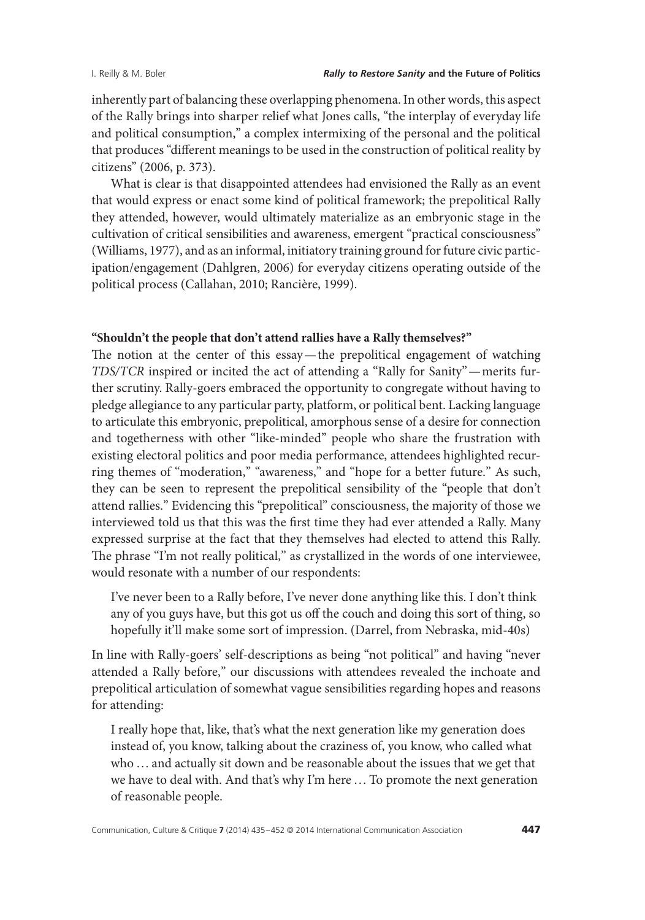inherently part of balancing these overlapping phenomena. In other words, this aspect of the Rally brings into sharper relief what Jones calls, "the interplay of everyday life and political consumption," a complex intermixing of the personal and the political that produces "different meanings to be used in the construction of political reality by citizens" (2006, p. 373).

What is clear is that disappointed attendees had envisioned the Rally as an event that would express or enact some kind of political framework; the prepolitical Rally they attended, however, would ultimately materialize as an embryonic stage in the cultivation of critical sensibilities and awareness, emergent "practical consciousness" (Williams, 1977), and as an informal, initiatory training ground for future civic participation/engagement (Dahlgren, 2006) for everyday citizens operating outside of the political process (Callahan, 2010; Rancière, 1999).

### **"Shouldn't the people that don't attend rallies have a Rally themselves?"**

The notion at the center of this essay— the prepolitical engagement of watching *TDS/TCR* inspired or incited the act of attending a "Rally for Sanity"—merits further scrutiny. Rally-goers embraced the opportunity to congregate without having to pledge allegiance to any particular party, platform, or political bent. Lacking language to articulate this embryonic, prepolitical, amorphous sense of a desire for connection and togetherness with other "like-minded" people who share the frustration with existing electoral politics and poor media performance, attendees highlighted recurring themes of "moderation," "awareness," and "hope for a better future." As such, they can be seen to represent the prepolitical sensibility of the "people that don't attend rallies." Evidencing this "prepolitical" consciousness, the majority of those we interviewed told us that this was the first time they had ever attended a Rally. Many expressed surprise at the fact that they themselves had elected to attend this Rally. The phrase "I'm not really political," as crystallized in the words of one interviewee, would resonate with a number of our respondents:

I've never been to a Rally before, I've never done anything like this. I don't think any of you guys have, but this got us off the couch and doing this sort of thing, so hopefully it'll make some sort of impression. (Darrel, from Nebraska, mid-40s)

In line with Rally-goers' self-descriptions as being "not political" and having "never attended a Rally before," our discussions with attendees revealed the inchoate and prepolitical articulation of somewhat vague sensibilities regarding hopes and reasons for attending:

I really hope that, like, that's what the next generation like my generation does instead of, you know, talking about the craziness of, you know, who called what who …and actually sit down and be reasonable about the issues that we get that we have to deal with. And that's why I'm here …To promote the next generation of reasonable people.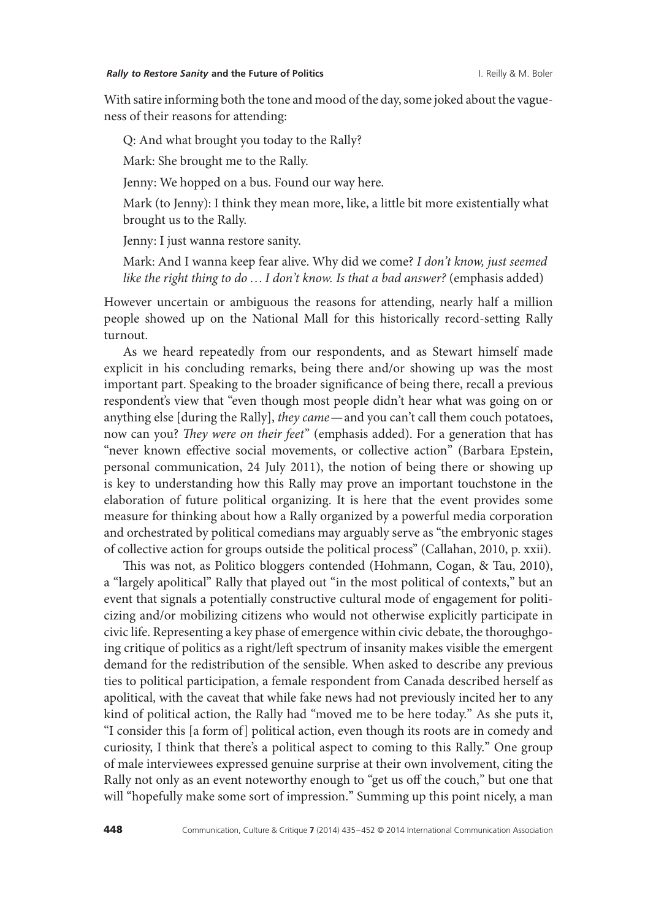With satire informing both the tone and mood of the day, some joked about the vagueness of their reasons for attending:

Q: And what brought you today to the Rally?

Mark: She brought me to the Rally.

Jenny: We hopped on a bus. Found our way here.

Mark (to Jenny): I think they mean more, like, a little bit more existentially what brought us to the Rally.

Jenny: I just wanna restore sanity.

Mark: And I wanna keep fear alive. Why did we come? *I don't know, just seemed like the right thing to do*…*I don't know. Is that a bad answer?* (emphasis added)

However uncertain or ambiguous the reasons for attending, nearly half a million people showed up on the National Mall for this historically record-setting Rally turnout.

As we heard repeatedly from our respondents, and as Stewart himself made explicit in his concluding remarks, being there and/or showing up was the most important part. Speaking to the broader significance of being there, recall a previous respondent's view that "even though most people didn't hear what was going on or anything else [during the Rally], *they came*—and you can't call them couch potatoes, now can you? *They were on their feet*" (emphasis added). For a generation that has "never known effective social movements, or collective action" (Barbara Epstein, personal communication, 24 July 2011), the notion of being there or showing up is key to understanding how this Rally may prove an important touchstone in the elaboration of future political organizing. It is here that the event provides some measure for thinking about how a Rally organized by a powerful media corporation and orchestrated by political comedians may arguably serve as "the embryonic stages of collective action for groups outside the political process" (Callahan, 2010, p. xxii).

This was not, as Politico bloggers contended (Hohmann, Cogan, & Tau, 2010), a "largely apolitical" Rally that played out "in the most political of contexts," but an event that signals a potentially constructive cultural mode of engagement for politicizing and/or mobilizing citizens who would not otherwise explicitly participate in civic life. Representing a key phase of emergence within civic debate, the thoroughgoing critique of politics as a right/left spectrum of insanity makes visible the emergent demand for the redistribution of the sensible. When asked to describe any previous ties to political participation, a female respondent from Canada described herself as apolitical, with the caveat that while fake news had not previously incited her to any kind of political action, the Rally had "moved me to be here today." As she puts it, "I consider this [a form of] political action, even though its roots are in comedy and curiosity, I think that there's a political aspect to coming to this Rally." One group of male interviewees expressed genuine surprise at their own involvement, citing the Rally not only as an event noteworthy enough to "get us off the couch," but one that will "hopefully make some sort of impression." Summing up this point nicely, a man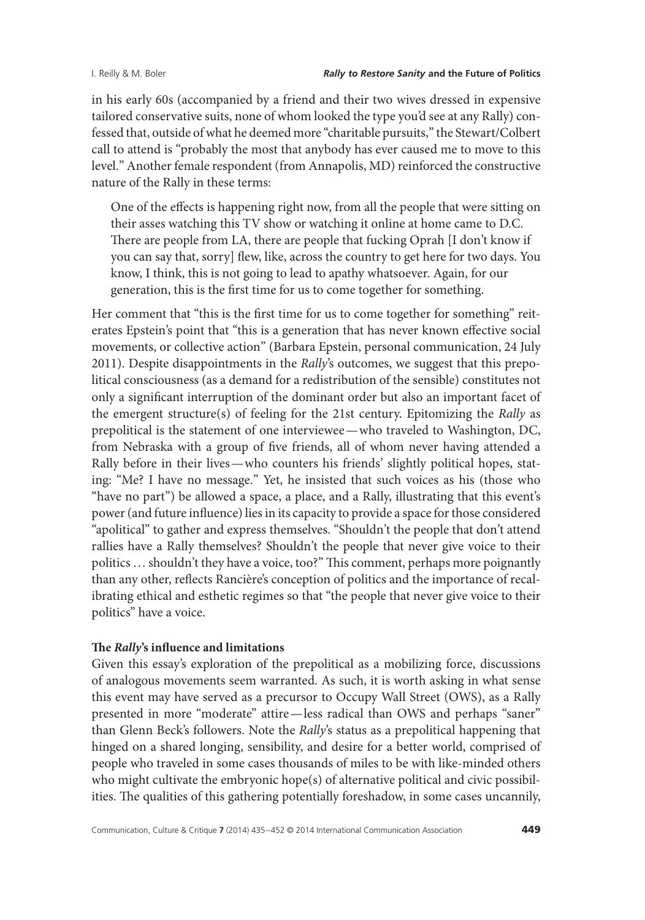in his early 60s (accompanied by a friend and their two wives dressed in expensive tailored conservative suits, none of whom looked the type you'd see at any Rally) confessed that, outside of what he deemed more "charitable pursuits," the Stewart/Colbert call to attend is "probably the most that anybody has ever caused me to move to this level." Another female respondent (from Annapolis, MD) reinforced the constructive nature of the Rally in these terms:

One of the effects is happening right now, from all the people that were sitting on their asses watching this TV show or watching it online at home came to D.C. There are people from LA, there are people that fucking Oprah [I don't know if you can say that, sorry] flew, like, across the country to get here for two days. You know, I think, this is not going to lead to apathy whatsoever. Again, for our generation, this is the first time for us to come together for something.

Her comment that "this is the first time for us to come together for something" reiterates Epstein's point that "this is a generation that has never known effective social movements, or collective action" (Barbara Epstein, personal communication, 24 July 2011). Despite disappointments in the *Rally*'s outcomes, we suggest that this prepolitical consciousness (as a demand for a redistribution of the sensible) constitutes not only a significant interruption of the dominant order but also an important facet of the emergent structure(s) of feeling for the 21st century. Epitomizing the *Rally* as prepolitical is the statement of one interviewee—who traveled to Washington, DC, from Nebraska with a group of five friends, all of whom never having attended a Rally before in their lives—who counters his friends' slightly political hopes, stating: "Me? I have no message." Yet, he insisted that such voices as his (those who "have no part") be allowed a space, a place, and a Rally, illustrating that this event's power (and future influence) lies in its capacity to provide a space for those considered "apolitical" to gather and express themselves. "Shouldn't the people that don't attend rallies have a Rally themselves? Shouldn't the people that never give voice to their politics …shouldn't they have a voice, too?" This comment, perhaps more poignantly than any other, reflects Rancière's conception of politics and the importance of recalibrating ethical and esthetic regimes so that "the people that never give voice to their politics" have a voice.

### **The** *Rally***'s influence and limitations**

Given this essay's exploration of the prepolitical as a mobilizing force, discussions of analogous movements seem warranted. As such, it is worth asking in what sense this event may have served as a precursor to Occupy Wall Street (OWS), as a Rally presented in more "moderate" attire—less radical than OWS and perhaps "saner" than Glenn Beck's followers. Note the *Rally*'s status as a prepolitical happening that hinged on a shared longing, sensibility, and desire for a better world, comprised of people who traveled in some cases thousands of miles to be with like-minded others who might cultivate the embryonic hope(s) of alternative political and civic possibilities. The qualities of this gathering potentially foreshadow, in some cases uncannily,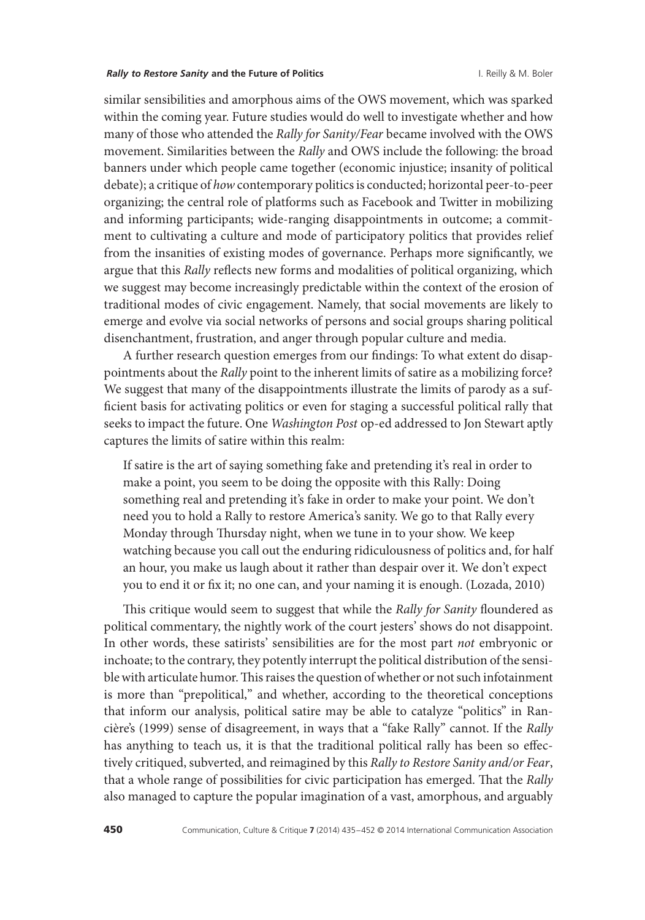#### *Rally to Restore Sanity* **and the Future of Politics** I. Reilly & M. Boler

similar sensibilities and amorphous aims of the OWS movement, which was sparked within the coming year. Future studies would do well to investigate whether and how many of those who attended the *Rally for Sanity/Fear* became involved with the OWS movement. Similarities between the *Rally* and OWS include the following: the broad banners under which people came together (economic injustice; insanity of political debate); a critique of *how* contemporary politics is conducted; horizontal peer-to-peer organizing; the central role of platforms such as Facebook and Twitter in mobilizing and informing participants; wide-ranging disappointments in outcome; a commitment to cultivating a culture and mode of participatory politics that provides relief from the insanities of existing modes of governance. Perhaps more significantly, we argue that this *Rally* reflects new forms and modalities of political organizing, which we suggest may become increasingly predictable within the context of the erosion of traditional modes of civic engagement. Namely, that social movements are likely to emerge and evolve via social networks of persons and social groups sharing political disenchantment, frustration, and anger through popular culture and media.

A further research question emerges from our findings: To what extent do disappointments about the *Rally* point to the inherent limits of satire as a mobilizing force? We suggest that many of the disappointments illustrate the limits of parody as a sufficient basis for activating politics or even for staging a successful political rally that seeks to impact the future. One *Washington Post* op-ed addressed to Jon Stewart aptly captures the limits of satire within this realm:

If satire is the art of saying something fake and pretending it's real in order to make a point, you seem to be doing the opposite with this Rally: Doing something real and pretending it's fake in order to make your point. We don't need you to hold a Rally to restore America's sanity. We go to that Rally every Monday through Thursday night, when we tune in to your show. We keep watching because you call out the enduring ridiculousness of politics and, for half an hour, you make us laugh about it rather than despair over it. We don't expect you to end it or fix it; no one can, and your naming it is enough. (Lozada, 2010)

This critique would seem to suggest that while the *Rally for Sanity* floundered as political commentary, the nightly work of the court jesters' shows do not disappoint. In other words, these satirists' sensibilities are for the most part *not* embryonic or inchoate; to the contrary, they potently interrupt the political distribution of the sensible with articulate humor.This raises the question of whether or not such infotainment is more than "prepolitical," and whether, according to the theoretical conceptions that inform our analysis, political satire may be able to catalyze "politics" in Rancière's (1999) sense of disagreement, in ways that a "fake Rally" cannot. If the *Rally* has anything to teach us, it is that the traditional political rally has been so effectively critiqued, subverted, and reimagined by this *Rally to Restore Sanity and/or Fear*, that a whole range of possibilities for civic participation has emerged. That the *Rally* also managed to capture the popular imagination of a vast, amorphous, and arguably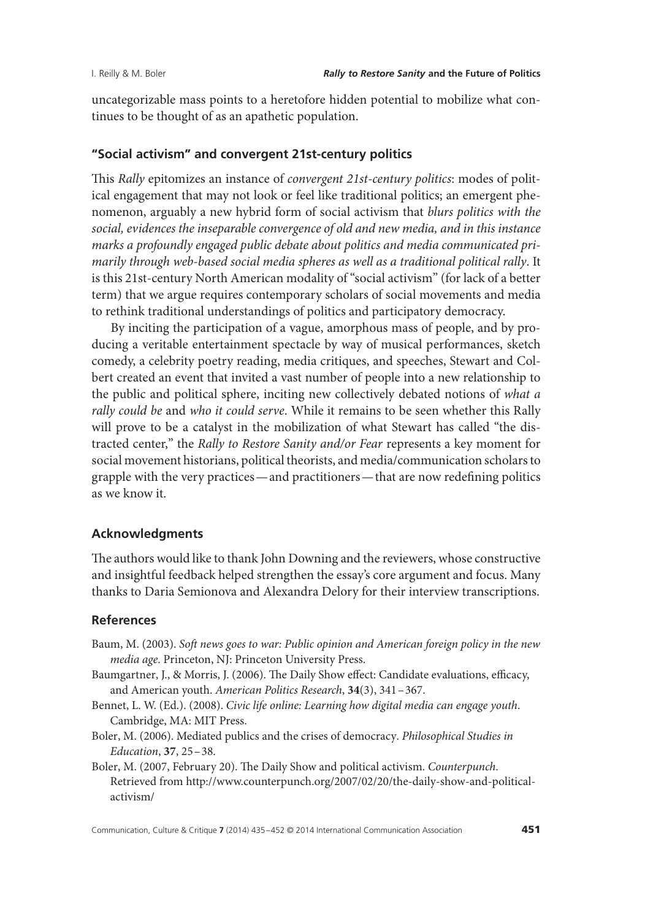uncategorizable mass points to a heretofore hidden potential to mobilize what continues to be thought of as an apathetic population.

### **"Social activism" and convergent 21st-century politics**

This *Rally* epitomizes an instance of *convergent 21st-century politics*: modes of political engagement that may not look or feel like traditional politics; an emergent phenomenon, arguably a new hybrid form of social activism that *blurs politics with the social, evidences the inseparable convergence of old and new media, and in this instance marks a profoundly engaged public debate about politics and media communicated primarily through web-based social media spheres as well as a traditional political rally*. It is this 21st-century North American modality of "social activism" (for lack of a better term) that we argue requires contemporary scholars of social movements and media to rethink traditional understandings of politics and participatory democracy.

By inciting the participation of a vague, amorphous mass of people, and by producing a veritable entertainment spectacle by way of musical performances, sketch comedy, a celebrity poetry reading, media critiques, and speeches, Stewart and Colbert created an event that invited a vast number of people into a new relationship to the public and political sphere, inciting new collectively debated notions of *what a rally could be* and *who it could serve*. While it remains to be seen whether this Rally will prove to be a catalyst in the mobilization of what Stewart has called "the distracted center," the *Rally to Restore Sanity and/or Fear* represents a key moment for social movement historians, political theorists, and media/communication scholars to grapple with the very practices—and practitioners— that are now redefining politics as we know it.

# **Acknowledgments**

The authors would like to thank John Downing and the reviewers, whose constructive and insightful feedback helped strengthen the essay's core argument and focus. Many thanks to Daria Semionova and Alexandra Delory for their interview transcriptions.

### **References**

- Baum, M. (2003). *Soft news goes to war: Public opinion and American foreign policy in the new media age*. Princeton, NJ: Princeton University Press.
- Baumgartner, J., & Morris, J. (2006). The Daily Show effect: Candidate evaluations, efficacy, and American youth. *American Politics Research*, **34**(3), 341–367.
- Bennet, L. W. (Ed.). (2008). *Civic life online: Learning how digital media can engage youth*. Cambridge, MA: MIT Press.
- Boler, M. (2006). Mediated publics and the crises of democracy. *Philosophical Studies in Education*, **37**, 25–38.
- Boler, M. (2007, February 20). The Daily Show and political activism. *Counterpunch*. Retrieved from http://www.counterpunch.org/2007/02/20/the-daily-show-and-politicalactivism/